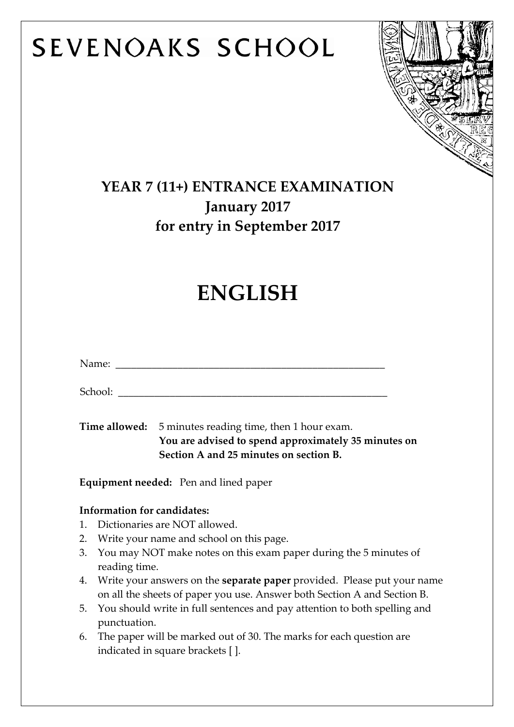# SEVENOAKS SCHOOL



### **YEAR 7 (11+) ENTRANCE EXAMINATION January 2017 for entry in September 2017**

## **ENGLISH**

|  |                                                                                                                                                               | Name: Name and the state of the state of the state of the state of the state of the state of the state of the state of the state of the state of the state of the state of the state of the state of the state of the state of |  |
|--|---------------------------------------------------------------------------------------------------------------------------------------------------------------|--------------------------------------------------------------------------------------------------------------------------------------------------------------------------------------------------------------------------------|--|
|  | School: _______                                                                                                                                               |                                                                                                                                                                                                                                |  |
|  |                                                                                                                                                               | <b>Time allowed:</b> 5 minutes reading time, then 1 hour exam.<br>You are advised to spend approximately 35 minutes on<br>Section A and 25 minutes on section B.                                                               |  |
|  |                                                                                                                                                               | <b>Equipment needed:</b> Pen and lined paper                                                                                                                                                                                   |  |
|  | <b>Information for candidates:</b>                                                                                                                            |                                                                                                                                                                                                                                |  |
|  |                                                                                                                                                               | 1. Dictionaries are NOT allowed.                                                                                                                                                                                               |  |
|  |                                                                                                                                                               | 2. Write your name and school on this page.                                                                                                                                                                                    |  |
|  | 3. You may NOT make notes on this exam paper during the 5 minutes of<br>reading time.                                                                         |                                                                                                                                                                                                                                |  |
|  | 4. Write your answers on the <b>separate paper</b> provided. Please put your name<br>on all the sheets of paper you use. Answer both Section A and Section B. |                                                                                                                                                                                                                                |  |
|  | 5. You should write in full sentences and pay attention to both spelling and<br>punctuation.                                                                  |                                                                                                                                                                                                                                |  |
|  |                                                                                                                                                               | $\epsilon$ The repeat will be measured out of 20 The measure for each question are                                                                                                                                             |  |

6. The paper will be marked out of 30. The marks for each question are indicated in square brackets [ ].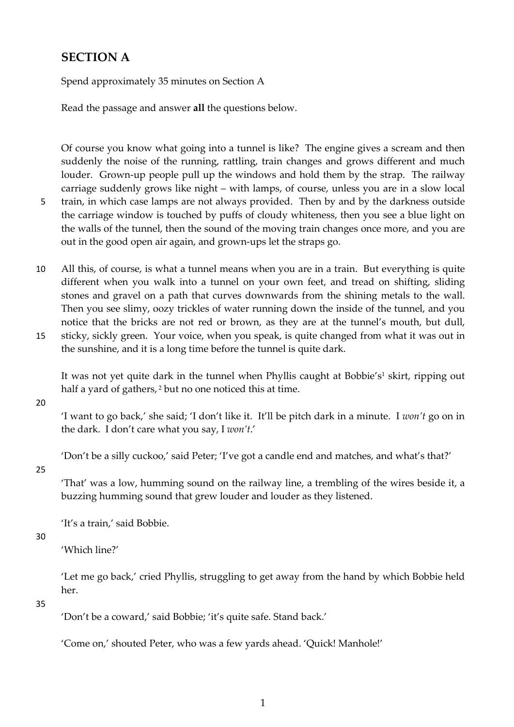#### **SECTION A**

Spend approximately 35 minutes on Section A

Read the passage and answer **all** the questions below.

Of course you know what going into a tunnel is like? The engine gives a scream and then suddenly the noise of the running, rattling, train changes and grows different and much louder. Grown-up people pull up the windows and hold them by the strap. The railway carriage suddenly grows like night – with lamps, of course, unless you are in a slow local 5 train, in which case lamps are not always provided. Then by and by the darkness outside the carriage window is touched by puffs of cloudy whiteness, then you see a blue light on the walls of the tunnel, then the sound of the moving train changes once more, and you are out in the good open air again, and grown-ups let the straps go.

- 10 All this, of course, is what a tunnel means when you are in a train. But everything is quite different when you walk into a tunnel on your own feet, and tread on shifting, sliding stones and gravel on a path that curves downwards from the shining metals to the wall. Then you see slimy, oozy trickles of water running down the inside of the tunnel, and you notice that the bricks are not red or brown, as they are at the tunnel's mouth, but dull, 15 sticky, sickly green. Your voice, when you speak, is quite changed from what it was out in
- the sunshine, and it is a long time before the tunnel is quite dark.

It was not yet quite dark in the tunnel when Phyllis caught at Bobbie's<sup>1</sup> skirt, ripping out half a yard of gathers,<sup>2</sup> but no one noticed this at time.

20

'I want to go back,' she said; 'I don't like it. It'll be pitch dark in a minute. I *won't* go on in the dark. I don't care what you say, I *won't*.'

'Don't be a silly cuckoo,' said Peter; 'I've got a candle end and matches, and what's that?'

#### 25

'That' was a low, humming sound on the railway line, a trembling of the wires beside it, a buzzing humming sound that grew louder and louder as they listened.

'It's a train,' said Bobbie.

#### 30

'Which line?'

'Let me go back,' cried Phyllis, struggling to get away from the hand by which Bobbie held her.

#### 35

'Don't be a coward,' said Bobbie; 'it's quite safe. Stand back.'

'Come on,' shouted Peter, who was a few yards ahead. 'Quick! Manhole!'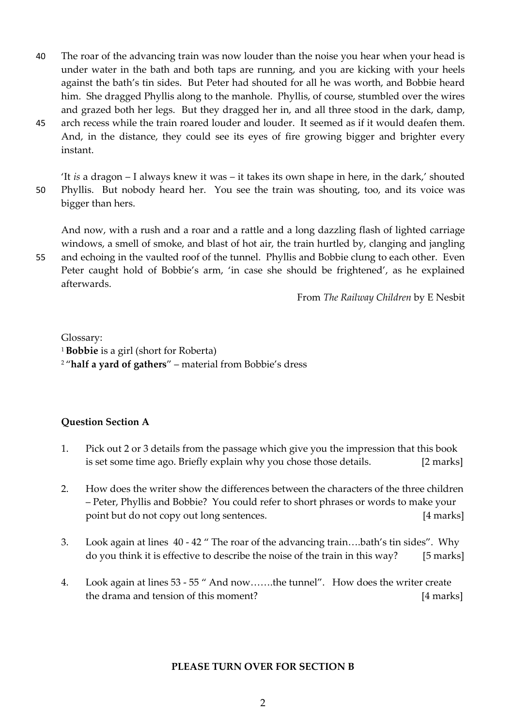- 40 The roar of the advancing train was now louder than the noise you hear when your head is under water in the bath and both taps are running, and you are kicking with your heels against the bath's tin sides. But Peter had shouted for all he was worth, and Bobbie heard him. She dragged Phyllis along to the manhole. Phyllis, of course, stumbled over the wires and grazed both her legs. But they dragged her in, and all three stood in the dark, damp,
- 45 arch recess while the train roared louder and louder. It seemed as if it would deafen them. And, in the distance, they could see its eyes of fire growing bigger and brighter every instant.

'It *is* a dragon – I always knew it was – it takes its own shape in here, in the dark,' shouted 50 Phyllis. But nobody heard her. You see the train was shouting, too, and its voice was bigger than hers.

And now, with a rush and a roar and a rattle and a long dazzling flash of lighted carriage windows, a smell of smoke, and blast of hot air, the train hurtled by, clanging and jangling

55 and echoing in the vaulted roof of the tunnel. Phyllis and Bobbie clung to each other. Even Peter caught hold of Bobbie's arm, 'in case she should be frightened', as he explained afterwards.

From *The Railway Children* by E Nesbit

Glossary: <sup>1</sup>**Bobbie** is a girl (short for Roberta) 2 "**half a yard of gathers**" – material from Bobbie's dress

#### **Question Section A**

- 1. Pick out 2 or 3 details from the passage which give you the impression that this book is set some time ago. Briefly explain why you chose those details. [2 marks]
- 2. How does the writer show the differences between the characters of the three children – Peter, Phyllis and Bobbie? You could refer to short phrases or words to make your point but do not copy out long sentences. [4 marks]
- 3. Look again at lines 40 42 " The roar of the advancing train….bath's tin sides". Why do you think it is effective to describe the noise of the train in this way? [5 marks]
- 4. Look again at lines 53 55 " And now…….the tunnel". How does the writer create the drama and tension of this moment? [4 marks]

#### **PLEASE TURN OVER FOR SECTION B**